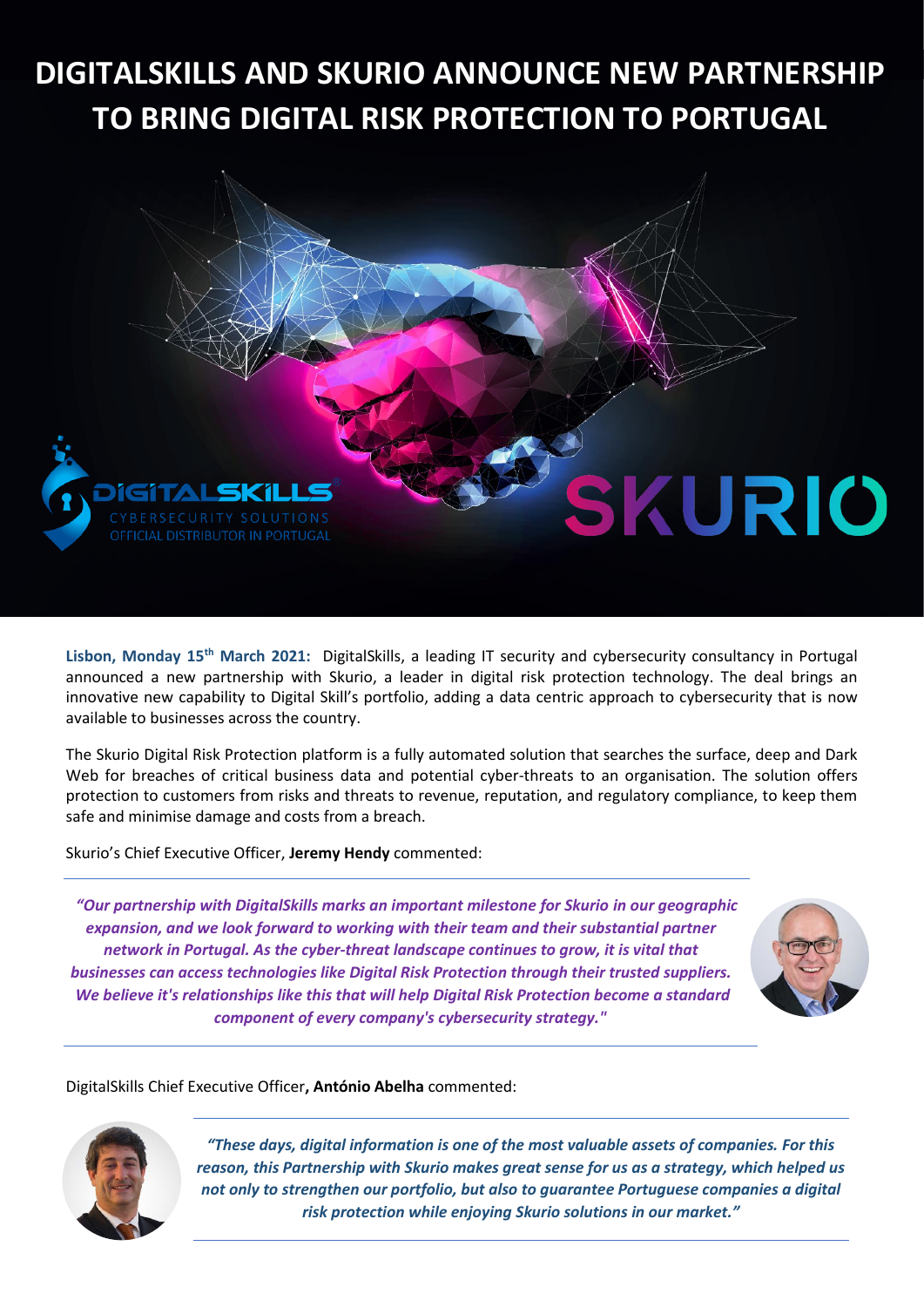## **DIGITALSKILLS AND SKURIO ANNOUNCE NEW PARTNERSHIP TO BRING DIGITAL RISK PROTECTION TO PORTUGAL**



**Lisbon, Monday 15th March 2021:** DigitalSkills, a leading IT security and cybersecurity consultancy in Portugal announced a new partnership with Skurio, a leader in digital risk protection technology. The deal brings an innovative new capability to Digital Skill's portfolio, adding a data centric approach to cybersecurity that is now available to businesses across the country.

The Skurio Digital Risk Protection platform is a fully automated solution that searches the surface, deep and Dark Web for breaches of critical business data and potential cyber-threats to an organisation. The solution offers protection to customers from risks and threats to revenue, reputation, and regulatory compliance, to keep them safe and minimise damage and costs from a breach.

Skurio's Chief Executive Officer, **Jeremy Hendy** commented:

*"Our partnership with DigitalSkills marks an important milestone for Skurio in our geographic expansion, and we look forward to working with their team and their substantial partner network in Portugal. As the cyber-threat landscape continues to grow, it is vital that businesses can access technologies like Digital Risk Protection through their trusted suppliers. We believe it's relationships like this that will help Digital Risk Protection become a standard component of every company's cybersecurity strategy."*



DigitalSkills Chief Executive Officer**, António Abelha** commented:



*"These days, digital information is one of the most valuable assets of companies. For this reason, this Partnership with Skurio makes great sense for us as a strategy, which helped us not only to strengthen our portfolio, but also to guarantee Portuguese companies a digital risk protection while enjoying Skurio solutions in our market."*